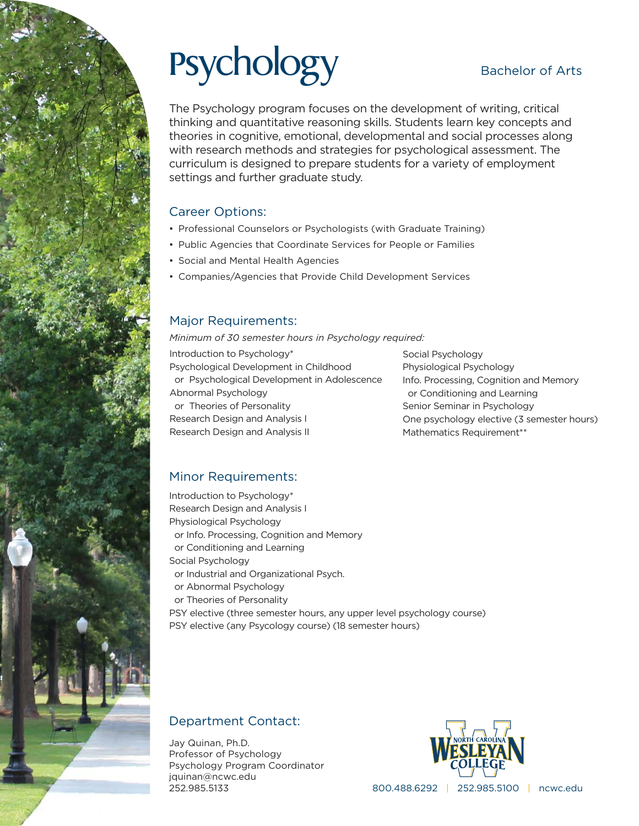# Psychology Bachelor of Arts

The Psychology program focuses on the development of writing, critical thinking and quantitative reasoning skills. Students learn key concepts and theories in cognitive, emotional, developmental and social processes along with research methods and strategies for psychological assessment. The curriculum is designed to prepare students for a variety of employment settings and further graduate study.

### Career Options:

- Professional Counselors or Psychologists (with Graduate Training)
- Public Agencies that Coordinate Services for People or Families
- Social and Mental Health Agencies
- Companies/Agencies that Provide Child Development Services

### Major Requirements:

*Minimum of 30 semester hours in Psychology required:*

Introduction to Psychology\* Psychological Development in Childhood or Psychological Development in Adolescence Abnormal Psychology or Theories of Personality Research Design and Analysis I

Social Psychology Physiological Psychology Info. Processing, Cognition and Memory or Conditioning and Learning Senior Seminar in Psychology One psychology elective (3 semester hours) Mathematics Requirement\*\*

### Minor Requirements:

Research Design and Analysis II

Introduction to Psychology\* Research Design and Analysis I Physiological Psychology or Info. Processing, Cognition and Memory or Conditioning and Learning Social Psychology or Industrial and Organizational Psych. or Abnormal Psychology or Theories of Personality PSY elective (three semester hours, any upper level psychology course) PSY elective (any Psycology course) (18 semester hours)

### Department Contact:

Jay Quinan, Ph.D. Professor of Psychology Psychology Program Coordinator jquinan@ncwc.edu 252.985.5133



800.488.6292 | 252.985.5100 | ncwc.edu